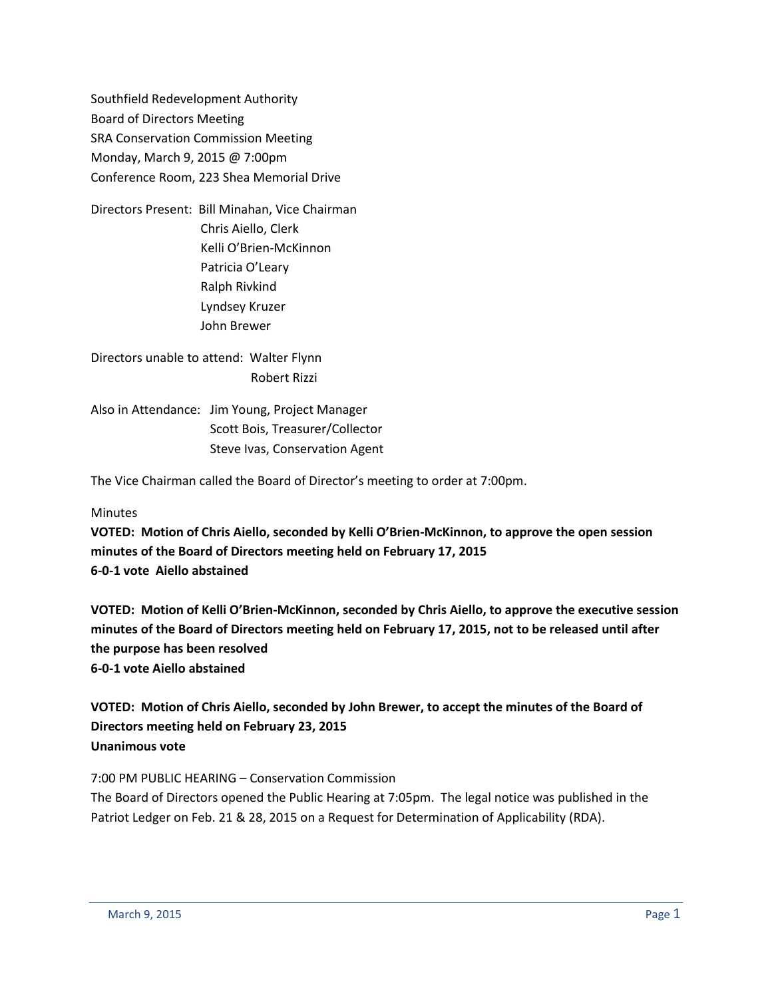Southfield Redevelopment Authority Board of Directors Meeting SRA Conservation Commission Meeting Monday, March 9, 2015 @ 7:00pm Conference Room, 223 Shea Memorial Drive

Directors Present: Bill Minahan, Vice Chairman Chris Aiello, Clerk Kelli O'Brien-McKinnon Patricia O'Leary Ralph Rivkind Lyndsey Kruzer John Brewer

Directors unable to attend: Walter Flynn Robert Rizzi

Also in Attendance: Jim Young, Project Manager Scott Bois, Treasurer/Collector Steve Ivas, Conservation Agent

The Vice Chairman called the Board of Director's meeting to order at 7:00pm.

### Minutes

**VOTED: Motion of Chris Aiello, seconded by Kelli O'Brien-McKinnon, to approve the open session minutes of the Board of Directors meeting held on February 17, 2015 6-0-1 vote Aiello abstained**

**VOTED: Motion of Kelli O'Brien-McKinnon, seconded by Chris Aiello, to approve the executive session minutes of the Board of Directors meeting held on February 17, 2015, not to be released until after the purpose has been resolved 6-0-1 vote Aiello abstained**

**VOTED: Motion of Chris Aiello, seconded by John Brewer, to accept the minutes of the Board of Directors meeting held on February 23, 2015 Unanimous vote**

### 7:00 PM PUBLIC HEARING – Conservation Commission

The Board of Directors opened the Public Hearing at 7:05pm. The legal notice was published in the Patriot Ledger on Feb. 21 & 28, 2015 on a Request for Determination of Applicability (RDA).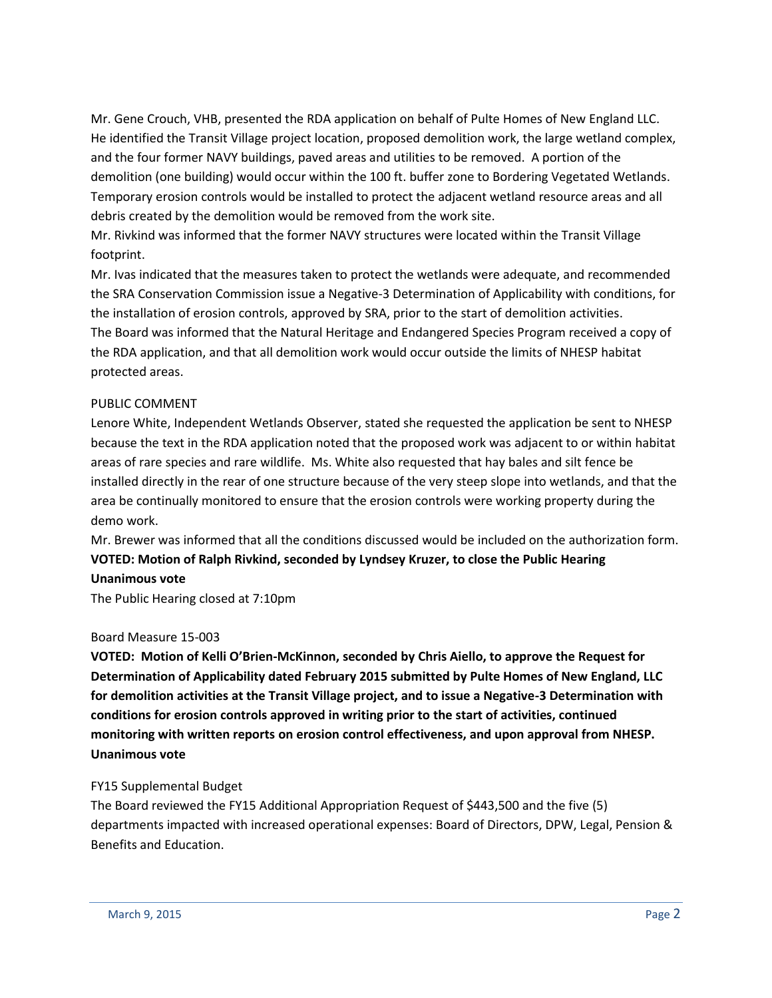Mr. Gene Crouch, VHB, presented the RDA application on behalf of Pulte Homes of New England LLC. He identified the Transit Village project location, proposed demolition work, the large wetland complex, and the four former NAVY buildings, paved areas and utilities to be removed. A portion of the demolition (one building) would occur within the 100 ft. buffer zone to Bordering Vegetated Wetlands. Temporary erosion controls would be installed to protect the adjacent wetland resource areas and all debris created by the demolition would be removed from the work site.

Mr. Rivkind was informed that the former NAVY structures were located within the Transit Village footprint.

Mr. Ivas indicated that the measures taken to protect the wetlands were adequate, and recommended the SRA Conservation Commission issue a Negative-3 Determination of Applicability with conditions, for the installation of erosion controls, approved by SRA, prior to the start of demolition activities. The Board was informed that the Natural Heritage and Endangered Species Program received a copy of the RDA application, and that all demolition work would occur outside the limits of NHESP habitat protected areas.

### PUBLIC COMMENT

Lenore White, Independent Wetlands Observer, stated she requested the application be sent to NHESP because the text in the RDA application noted that the proposed work was adjacent to or within habitat areas of rare species and rare wildlife. Ms. White also requested that hay bales and silt fence be installed directly in the rear of one structure because of the very steep slope into wetlands, and that the area be continually monitored to ensure that the erosion controls were working property during the demo work.

Mr. Brewer was informed that all the conditions discussed would be included on the authorization form. **VOTED: Motion of Ralph Rivkind, seconded by Lyndsey Kruzer, to close the Public Hearing Unanimous vote**

The Public Hearing closed at 7:10pm

### Board Measure 15-003

**VOTED: Motion of Kelli O'Brien-McKinnon, seconded by Chris Aiello, to approve the Request for Determination of Applicability dated February 2015 submitted by Pulte Homes of New England, LLC for demolition activities at the Transit Village project, and to issue a Negative-3 Determination with conditions for erosion controls approved in writing prior to the start of activities, continued monitoring with written reports on erosion control effectiveness, and upon approval from NHESP. Unanimous vote**

### FY15 Supplemental Budget

The Board reviewed the FY15 Additional Appropriation Request of \$443,500 and the five (5) departments impacted with increased operational expenses: Board of Directors, DPW, Legal, Pension & Benefits and Education.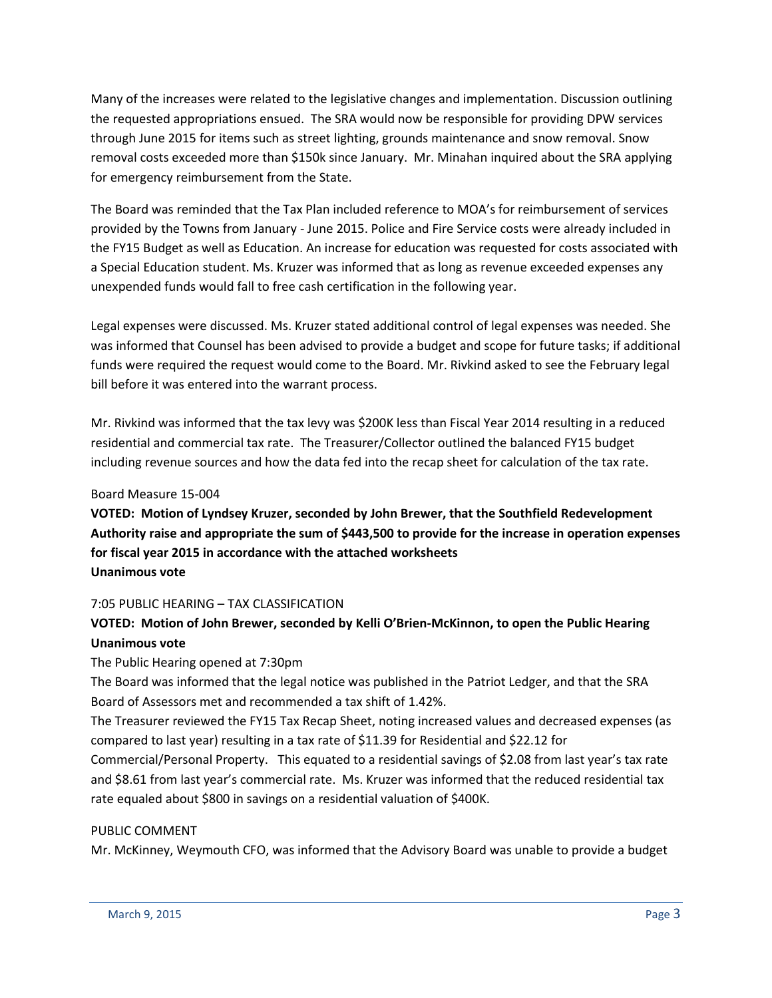Many of the increases were related to the legislative changes and implementation. Discussion outlining the requested appropriations ensued. The SRA would now be responsible for providing DPW services through June 2015 for items such as street lighting, grounds maintenance and snow removal. Snow removal costs exceeded more than \$150k since January. Mr. Minahan inquired about the SRA applying for emergency reimbursement from the State.

The Board was reminded that the Tax Plan included reference to MOA's for reimbursement of services provided by the Towns from January - June 2015. Police and Fire Service costs were already included in the FY15 Budget as well as Education. An increase for education was requested for costs associated with a Special Education student. Ms. Kruzer was informed that as long as revenue exceeded expenses any unexpended funds would fall to free cash certification in the following year.

Legal expenses were discussed. Ms. Kruzer stated additional control of legal expenses was needed. She was informed that Counsel has been advised to provide a budget and scope for future tasks; if additional funds were required the request would come to the Board. Mr. Rivkind asked to see the February legal bill before it was entered into the warrant process.

Mr. Rivkind was informed that the tax levy was \$200K less than Fiscal Year 2014 resulting in a reduced residential and commercial tax rate. The Treasurer/Collector outlined the balanced FY15 budget including revenue sources and how the data fed into the recap sheet for calculation of the tax rate.

### Board Measure 15-004

**VOTED: Motion of Lyndsey Kruzer, seconded by John Brewer, that the Southfield Redevelopment Authority raise and appropriate the sum of \$443,500 to provide for the increase in operation expenses for fiscal year 2015 in accordance with the attached worksheets Unanimous vote**

## 7:05 PUBLIC HEARING – TAX CLASSIFICATION

# **VOTED: Motion of John Brewer, seconded by Kelli O'Brien-McKinnon, to open the Public Hearing Unanimous vote**

## The Public Hearing opened at 7:30pm

The Board was informed that the legal notice was published in the Patriot Ledger, and that the SRA Board of Assessors met and recommended a tax shift of 1.42%.

The Treasurer reviewed the FY15 Tax Recap Sheet, noting increased values and decreased expenses (as compared to last year) resulting in a tax rate of \$11.39 for Residential and \$22.12 for

Commercial/Personal Property. This equated to a residential savings of \$2.08 from last year's tax rate and \$8.61 from last year's commercial rate. Ms. Kruzer was informed that the reduced residential tax rate equaled about \$800 in savings on a residential valuation of \$400K.

### PUBLIC COMMENT

Mr. McKinney, Weymouth CFO, was informed that the Advisory Board was unable to provide a budget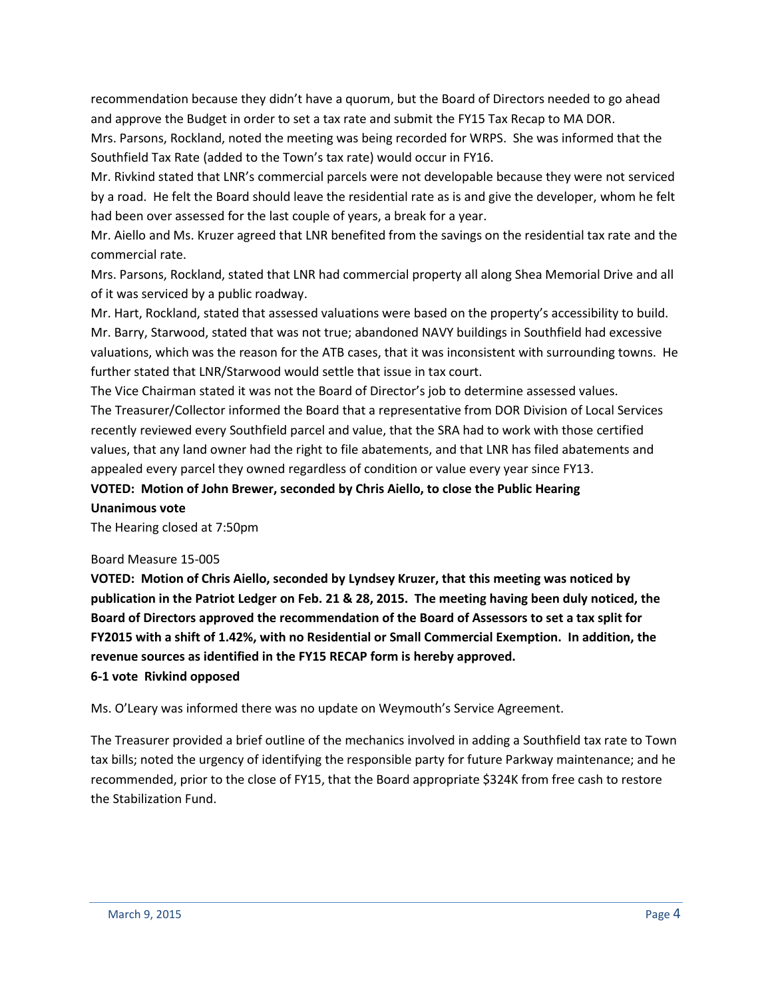recommendation because they didn't have a quorum, but the Board of Directors needed to go ahead and approve the Budget in order to set a tax rate and submit the FY15 Tax Recap to MA DOR.

Mrs. Parsons, Rockland, noted the meeting was being recorded for WRPS. She was informed that the Southfield Tax Rate (added to the Town's tax rate) would occur in FY16.

Mr. Rivkind stated that LNR's commercial parcels were not developable because they were not serviced by a road. He felt the Board should leave the residential rate as is and give the developer, whom he felt had been over assessed for the last couple of years, a break for a year.

Mr. Aiello and Ms. Kruzer agreed that LNR benefited from the savings on the residential tax rate and the commercial rate.

Mrs. Parsons, Rockland, stated that LNR had commercial property all along Shea Memorial Drive and all of it was serviced by a public roadway.

Mr. Hart, Rockland, stated that assessed valuations were based on the property's accessibility to build. Mr. Barry, Starwood, stated that was not true; abandoned NAVY buildings in Southfield had excessive valuations, which was the reason for the ATB cases, that it was inconsistent with surrounding towns. He further stated that LNR/Starwood would settle that issue in tax court.

The Vice Chairman stated it was not the Board of Director's job to determine assessed values. The Treasurer/Collector informed the Board that a representative from DOR Division of Local Services recently reviewed every Southfield parcel and value, that the SRA had to work with those certified values, that any land owner had the right to file abatements, and that LNR has filed abatements and appealed every parcel they owned regardless of condition or value every year since FY13.

**VOTED: Motion of John Brewer, seconded by Chris Aiello, to close the Public Hearing Unanimous vote**

The Hearing closed at 7:50pm

### Board Measure 15-005

**VOTED: Motion of Chris Aiello, seconded by Lyndsey Kruzer, that this meeting was noticed by publication in the Patriot Ledger on Feb. 21 & 28, 2015. The meeting having been duly noticed, the Board of Directors approved the recommendation of the Board of Assessors to set a tax split for FY2015 with a shift of 1.42%, with no Residential or Small Commercial Exemption. In addition, the revenue sources as identified in the FY15 RECAP form is hereby approved. 6-1 vote Rivkind opposed**

Ms. O'Leary was informed there was no update on Weymouth's Service Agreement.

The Treasurer provided a brief outline of the mechanics involved in adding a Southfield tax rate to Town tax bills; noted the urgency of identifying the responsible party for future Parkway maintenance; and he recommended, prior to the close of FY15, that the Board appropriate \$324K from free cash to restore the Stabilization Fund.